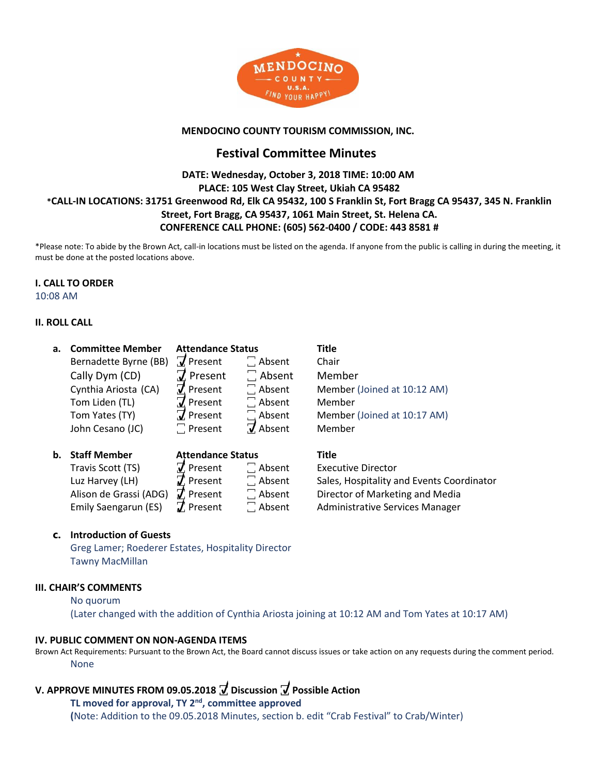

### **MENDOCINO COUNTY TOURISM COMMISSION, INC.**

# **Festival Committee Minutes**

### **DATE: Wednesday, October 3, 2018 TIME: 10:00 AM PLACE: 105 West Clay Street, Ukiah CA 95482 \*CALL-IN LOCATIONS: 31751 Greenwood Rd, Elk CA 95432, 100 S Franklin St, Fort Bragg CA 95437, 345 N. Franklin Street, Fort Bragg, CA 95437, 1061 Main Street, St. Helena CA. CONFERENCE CALL PHONE: (605) 562-0400 / CODE: 443 8581 #**

\*Please note: To abide by the Brown Act, call-in locations must be listed on the agenda. If anyone from the public is calling in during the meeting, it must be done at the posted locations above.

### **I. CALL TO ORDER**

10:08 AM

### **II. ROLL CALL**

| a. | <b>Committee Member</b> | <b>Attendance Status</b> |               | Title                                     |
|----|-------------------------|--------------------------|---------------|-------------------------------------------|
|    | Bernadette Byrne (BB)   | $\nabla$ Present         | $\Box$ Absent | Chair                                     |
|    | Cally Dym (CD)          | $\overline{J}$ Present   | $\Box$ Absent | Member                                    |
|    | Cynthia Ariosta (CA)    | $\tau$ Present           | $\Box$ Absent | Member (Joined at 10:12 AM)               |
|    | Tom Liden (TL)          | $\overline{J}$ Present   | $\Box$ Absent | Member                                    |
|    | Tom Yates (TY)          | $\overline{J}$ Present   | $\Box$ Absent | Member (Joined at 10:17 AM)               |
|    | John Cesano (JC)        | $\Box$ Present           | V Absent      | Member                                    |
| b. | <b>Staff Member</b>     | <b>Attendance Status</b> |               | Title                                     |
|    | Travis Scott (TS)       | $\vec{v}$ Present        | $\Box$ Absent | <b>Executive Director</b>                 |
|    | Luz Harvey (LH)         | $\vec{J}$ Present        | $\Box$ Absent | Sales, Hospitality and Events Coordinator |
|    | Alison de Grassi (ADG)  | $\boldsymbol{J}$ Present | $\Box$ Absent | Director of Marketing and Media           |
|    | Emily Saengarun (ES)    | $\overline{J}$ Present   | Absent        | Administrative Services Manager           |

### **c. Introduction of Guests**

Greg Lamer; Roederer Estates, Hospitality Director Tawny MacMillan

### **III. CHAIR'S COMMENTS**

#### No quorum

(Later changed with the addition of Cynthia Ariosta joining at 10:12 AM and Tom Yates at 10:17 AM)

#### **IV. PUBLIC COMMENT ON NON-AGENDA ITEMS**

Brown Act Requirements: Pursuant to the Brown Act, the Board cannot discuss issues or take action on any requests during the comment period. None

### **V. APPROVE MINUTES FROM 09.05.2018 ꙱ Discussion ꙱ Possible Action**

### **TL moved for approval, TY 2nd, committee approved (**Note: Addition to the 09.05.2018 Minutes, section b. edit "Crab Festival" to Crab/Winter)